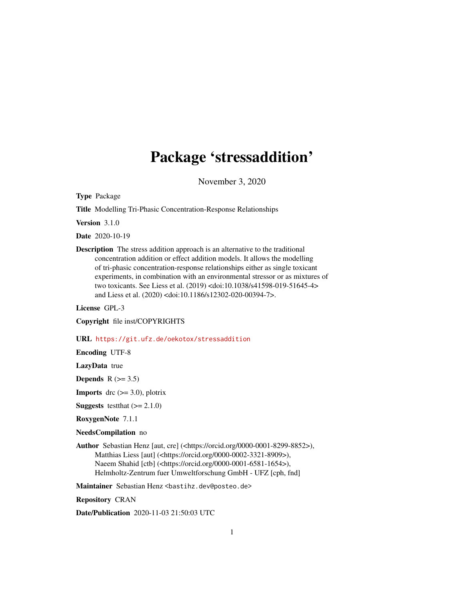## Package 'stressaddition'

November 3, 2020

<span id="page-0-0"></span>Type Package

Title Modelling Tri-Phasic Concentration-Response Relationships

Version 3.1.0

Date 2020-10-19

Description The stress addition approach is an alternative to the traditional concentration addition or effect addition models. It allows the modelling of tri-phasic concentration-response relationships either as single toxicant experiments, in combination with an environmental stressor or as mixtures of two toxicants. See Liess et al. (2019) <doi:10.1038/s41598-019-51645-4> and Liess et al. (2020) <doi:10.1186/s12302-020-00394-7>.

License GPL-3

Copyright file inst/COPYRIGHTS

URL <https://git.ufz.de/oekotox/stressaddition>

Encoding UTF-8

LazyData true

Depends  $R$  ( $>= 3.5$ )

**Imports** drc  $(>= 3.0)$ , plotrix

**Suggests** test that  $(>= 2.1.0)$ 

RoxygenNote 7.1.1

NeedsCompilation no

Author Sebastian Henz [aut, cre] (<https://orcid.org/0000-0001-8299-8852>), Matthias Liess [aut] (<https://orcid.org/0000-0002-3321-8909>), Naeem Shahid [ctb] (<https://orcid.org/0000-0001-6581-1654>), Helmholtz-Zentrum fuer Umweltforschung GmbH - UFZ [cph, fnd]

Maintainer Sebastian Henz <br/>bastihz.dev@posteo.de>

Repository CRAN

Date/Publication 2020-11-03 21:50:03 UTC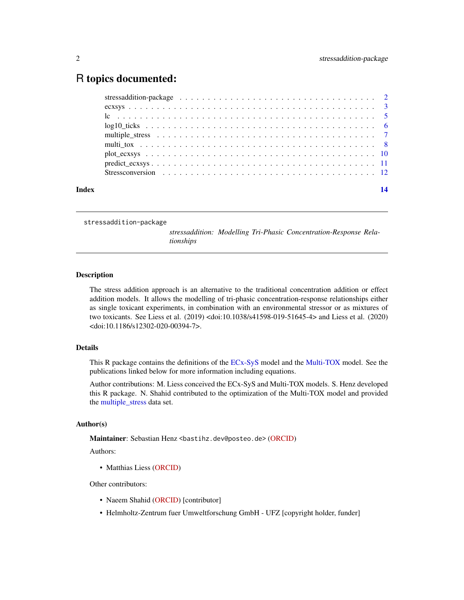### <span id="page-1-0"></span>R topics documented:

| Index |  |  |  |  |
|-------|--|--|--|--|
|       |  |  |  |  |
|       |  |  |  |  |
|       |  |  |  |  |
|       |  |  |  |  |
|       |  |  |  |  |
|       |  |  |  |  |
|       |  |  |  |  |
|       |  |  |  |  |
|       |  |  |  |  |

stressaddition-package

*stressaddition: Modelling Tri-Phasic Concentration-Response Relationships*

#### Description

The stress addition approach is an alternative to the traditional concentration addition or effect addition models. It allows the modelling of tri-phasic concentration-response relationships either as single toxicant experiments, in combination with an environmental stressor or as mixtures of two toxicants. See Liess et al. (2019) <doi:10.1038/s41598-019-51645-4> and Liess et al. (2020) <doi:10.1186/s12302-020-00394-7>.

#### Details

This R package contains the definitions of the [ECx-SyS](#page-2-1) model and the [Multi-TOX](#page-7-1) model. See the publications linked below for more information including equations.

Author contributions: M. Liess conceived the ECx-SyS and Multi-TOX models. S. Henz developed this R package. N. Shahid contributed to the optimization of the Multi-TOX model and provided the [multiple\\_stress](#page-6-1) data set.

#### Author(s)

Maintainer: Sebastian Henz <br/>bastihz.dev@posteo.de> [\(ORCID\)](https://orcid.org/0000-0001-8299-8852)

Authors:

• Matthias Liess [\(ORCID\)](https://orcid.org/0000-0002-3321-8909)

Other contributors:

- Naeem Shahid [\(ORCID\)](https://orcid.org/0000-0001-6581-1654) [contributor]
- Helmholtz-Zentrum fuer Umweltforschung GmbH UFZ [copyright holder, funder]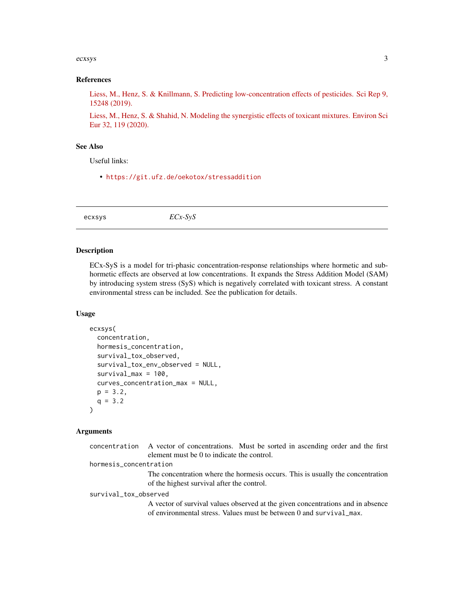#### <span id="page-2-0"></span>ecxsys 3

#### References

[Liess, M., Henz, S. & Knillmann, S. Predicting low-concentration effects of pesticides. Sci Rep 9,](https://doi.org/10.1038/s41598-019-51645-4) [15248 \(2019\).](https://doi.org/10.1038/s41598-019-51645-4)

[Liess, M., Henz, S. & Shahid, N. Modeling the synergistic effects of toxicant mixtures. Environ Sci](https://doi.org/10.1186/s12302-020-00394-7) [Eur 32, 119 \(2020\).](https://doi.org/10.1186/s12302-020-00394-7)

#### See Also

Useful links:

• <https://git.ufz.de/oekotox/stressaddition>

<span id="page-2-1"></span>ecxsys *ECx-SyS*

#### Description

ECx-SyS is a model for tri-phasic concentration-response relationships where hormetic and subhormetic effects are observed at low concentrations. It expands the Stress Addition Model (SAM) by introducing system stress (SyS) which is negatively correlated with toxicant stress. A constant environmental stress can be included. See the publication for details.

#### Usage

```
ecxsys(
  concentration,
  hormesis_concentration,
  survival_tox_observed,
  survival_tox_env_observed = NULL,
  survival_max = 100,
  curves_concentration_max = NULL,
  p = 3.2,
  q = 3.2\lambda
```
#### Arguments

|                        | concentration A vector of concentrations. Must be sorted in ascending order and the first |
|------------------------|-------------------------------------------------------------------------------------------|
|                        | element must be 0 to indicate the control.                                                |
| hormesis_concentration |                                                                                           |
|                        | The concentration where the hormesis occurs. This is usually the concentration            |
|                        | of the highest survival after the control.                                                |
| survival_tox_observed  |                                                                                           |
|                        | A vector of survival values observed at the given concentrations and in absence           |
|                        | of environmental stress. Values must be between 0 and survival max.                       |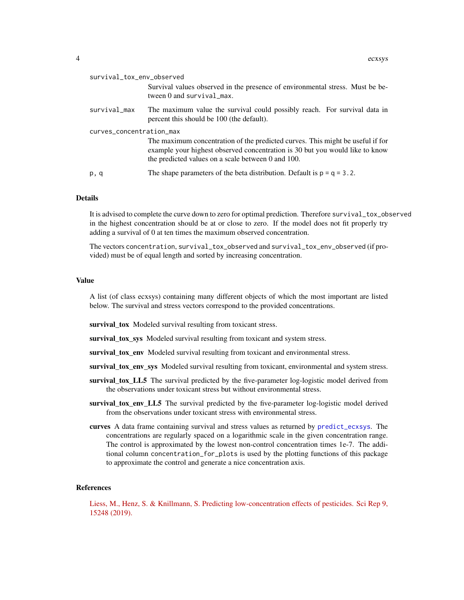<span id="page-3-0"></span>

| survival_tox_env_observed | Survival values observed in the presence of environmental stress. Must be be-<br>tween $0$ and survival $max$ .                                                                                                      |
|---------------------------|----------------------------------------------------------------------------------------------------------------------------------------------------------------------------------------------------------------------|
| survival_max              | The maximum value the survival could possibly reach. For survival data in<br>percent this should be 100 (the default).                                                                                               |
| curves_concentration_max  | The maximum concentration of the predicted curves. This might be useful if for<br>example your highest observed concentration is 30 but you would like to know<br>the predicted values on a scale between 0 and 100. |
| p, q                      | The shape parameters of the beta distribution. Default is $p = q = 3.2$ .                                                                                                                                            |

#### **Details**

It is advised to complete the curve down to zero for optimal prediction. Therefore survival\_tox\_observed in the highest concentration should be at or close to zero. If the model does not fit properly try adding a survival of 0 at ten times the maximum observed concentration.

The vectors concentration, survival\_tox\_observed and survival\_tox\_env\_observed (if provided) must be of equal length and sorted by increasing concentration.

#### Value

A list (of class ecxsys) containing many different objects of which the most important are listed below. The survival and stress vectors correspond to the provided concentrations.

survival\_tox Modeled survival resulting from toxicant stress.

survival tox sys Modeled survival resulting from toxicant and system stress.

survival\_tox\_env Modeled survival resulting from toxicant and environmental stress.

survival\_tox\_env\_sys Modeled survival resulting from toxicant, environmental and system stress.

- survival\_tox\_LL5 The survival predicted by the five-parameter log-logistic model derived from the observations under toxicant stress but without environmental stress.
- survival\_tox\_env\_LL5 The survival predicted by the five-parameter log-logistic model derived from the observations under toxicant stress with environmental stress.
- curves A data frame containing survival and stress values as returned by [predict\\_ecxsys](#page-10-1). The concentrations are regularly spaced on a logarithmic scale in the given concentration range. The control is approximated by the lowest non-control concentration times 1e-7. The additional column concentration\_for\_plots is used by the plotting functions of this package to approximate the control and generate a nice concentration axis.

#### References

[Liess, M., Henz, S. & Knillmann, S. Predicting low-concentration effects of pesticides. Sci Rep 9,](https://doi.org/10.1038/s41598-019-51645-4) [15248 \(2019\).](https://doi.org/10.1038/s41598-019-51645-4)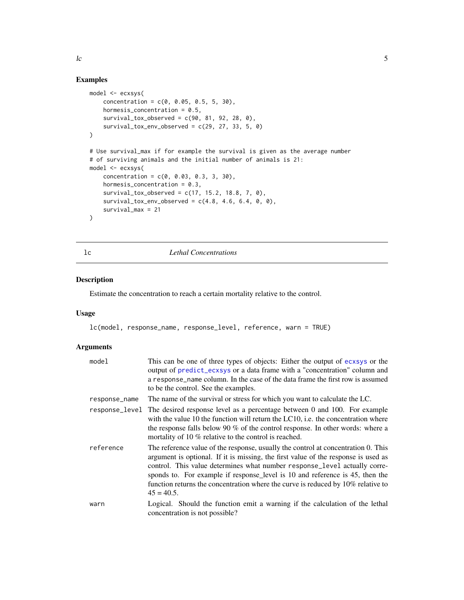<span id="page-4-0"></span> $\log 5$ 

#### Examples

```
model <- ecxsys(
   concentration = c(0, 0.05, 0.5, 5, 30),
   hormesis_concentration = 0.5,
   survival_tox_observed = c(90, 81, 92, 28, 0),
    survival_tox_env_observed = c(29, 27, 33, 5, 0)\lambda# Use survival_max if for example the survival is given as the average number
# of surviving animals and the initial number of animals is 21:
model <- ecxsys(
   concentration = c(0, 0.03, 0.3, 3, 30),
   hormesis_concentration = 0.3,
   survival_tox_observed = c(17, 15.2, 18.8, 7, 0),
   survival_tox_env\_observed = c(4.8, 4.6, 6.4, 0, 0),survival_max = 21
)
```
lc *Lethal Concentrations*

#### Description

Estimate the concentration to reach a certain mortality relative to the control.

#### Usage

```
lc(model, response_name, response_level, reference, warn = TRUE)
```
#### Arguments

| model         | This can be one of three types of objects: Either the output of ecxsys or the<br>output of predict_ecxsys or a data frame with a "concentration" column and<br>a response name column. In the case of the data frame the first row is assumed<br>to be the control. See the examples.                                                                                                                                                     |
|---------------|-------------------------------------------------------------------------------------------------------------------------------------------------------------------------------------------------------------------------------------------------------------------------------------------------------------------------------------------------------------------------------------------------------------------------------------------|
| response_name | The name of the survival or stress for which you want to calculate the LC.                                                                                                                                                                                                                                                                                                                                                                |
|               | response_level The desired response level as a percentage between 0 and 100. For example<br>with the value 10 the function will return the LC10, i.e. the concentration where<br>the response falls below 90 % of the control response. In other words: where a<br>mortality of 10 % relative to the control is reached.                                                                                                                  |
| reference     | The reference value of the response, usually the control at concentration 0. This<br>argument is optional. If it is missing, the first value of the response is used as<br>control. This value determines what number response_level actually corre-<br>sponds to. For example if response_level is 10 and reference is 45, then the<br>function returns the concentration where the curve is reduced by 10% relative to<br>$45 = 40.5$ . |
| warn          | Logical. Should the function emit a warning if the calculation of the lethal<br>concentration is not possible?                                                                                                                                                                                                                                                                                                                            |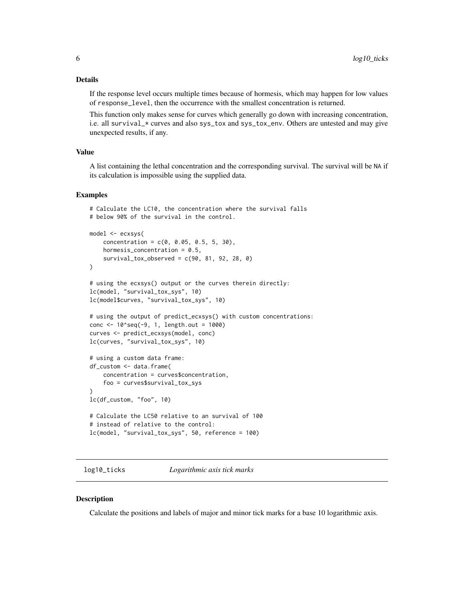#### <span id="page-5-0"></span>Details

If the response level occurs multiple times because of hormesis, which may happen for low values of response\_level, then the occurrence with the smallest concentration is returned.

This function only makes sense for curves which generally go down with increasing concentration, i.e. all survival\_\* curves and also sys\_tox and sys\_tox\_env. Others are untested and may give unexpected results, if any.

#### Value

A list containing the lethal concentration and the corresponding survival. The survival will be NA if its calculation is impossible using the supplied data.

#### Examples

```
# below 90% of the survival in the control.
model <- ecxsys(
   concentration = c(0, 0.05, 0.5, 5, 30),
   hormesis_concentration = 0.5,
   survival_tox_observed = c(90, 81, 92, 28, 0)
\lambda# using the ecxsys() output or the curves therein directly:
lc(model, "survival_tox_sys", 10)
lc(model$curves, "survival_tox_sys", 10)
# using the output of predict_ecxsys() with custom concentrations:
conc <- 10^seq(-9, 1, length.out = 1000)
curves <- predict_ecxsys(model, conc)
lc(curves, "survival_tox_sys", 10)
# using a custom data frame:
df_custom <- data.frame(
   concentration = curves$concentration,
    foo = curves$survival_tox_sys
)
lc(df_custom, "foo", 10)
# Calculate the LC50 relative to an survival of 100
# instead of relative to the control:
lc(model, "survival_tox_sys", 50, reference = 100)
```
# Calculate the LC10, the concentration where the survival falls

log10\_ticks *Logarithmic axis tick marks*

#### **Description**

Calculate the positions and labels of major and minor tick marks for a base 10 logarithmic axis.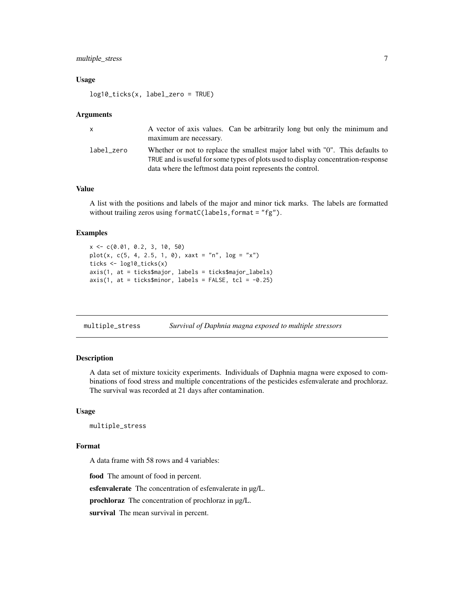#### <span id="page-6-0"></span>multiple\_stress 7

#### Usage

log10\_ticks(x, label\_zero = TRUE)

#### Arguments

| X.         | A vector of axis values. Can be arbitrarily long but only the minimum and<br>maximum are necessary.                                                                                                                              |
|------------|----------------------------------------------------------------------------------------------------------------------------------------------------------------------------------------------------------------------------------|
| label zero | Whether or not to replace the smallest major label with "0". This defaults to<br>TRUE and is useful for some types of plots used to display concentration-response<br>data where the leftmost data point represents the control. |

#### Value

A list with the positions and labels of the major and minor tick marks. The labels are formatted without trailing zeros using formatC(labels, format = "fg").

#### Examples

```
x <- c(0.01, 0.2, 3, 10, 50)
plot(x, c(5, 4, 2.5, 1, 0), xaxt = "n", log = "x")ticks <- log10_ticks(x)
axis(1, at = ticks$major, labels = ticks$major_labels)
axis(1, at = ticks$minor, labels = FALSE, tcl = -0.25)
```
<span id="page-6-1"></span>multiple\_stress *Survival of Daphnia magna exposed to multiple stressors*

#### Description

A data set of mixture toxicity experiments. Individuals of Daphnia magna were exposed to combinations of food stress and multiple concentrations of the pesticides esfenvalerate and prochloraz. The survival was recorded at 21 days after contamination.

#### Usage

```
multiple_stress
```
#### Format

A data frame with 58 rows and 4 variables:

food The amount of food in percent.

esfenvalerate The concentration of esfenvalerate in µg/L.

prochloraz The concentration of prochloraz in µg/L.

survival The mean survival in percent.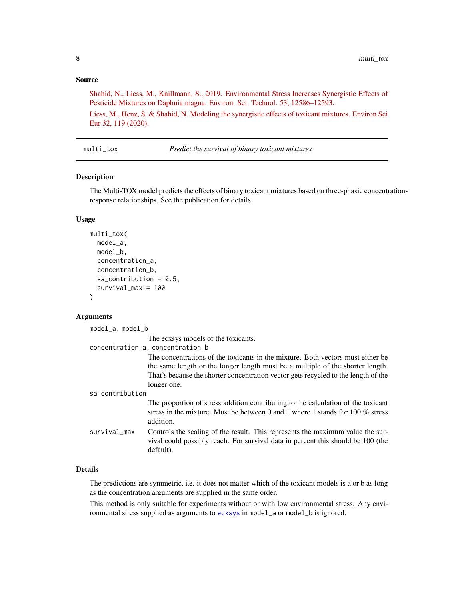#### <span id="page-7-0"></span>Source

[Shahid, N., Liess, M., Knillmann, S., 2019. Environmental Stress Increases Synergistic Effects of](https://doi.org/10.1021/acs.est.9b04293) [Pesticide Mixtures on Daphnia magna. Environ. Sci. Technol. 53, 12586–12593.](https://doi.org/10.1021/acs.est.9b04293)

[Liess, M., Henz, S. & Shahid, N. Modeling the synergistic effects of toxicant mixtures. Environ Sci](https://doi.org/10.1186/s12302-020-00394-7) [Eur 32, 119 \(2020\).](https://doi.org/10.1186/s12302-020-00394-7)

<span id="page-7-1"></span>multi\_tox *Predict the survival of binary toxicant mixtures*

#### Description

The Multi-TOX model predicts the effects of binary toxicant mixtures based on three-phasic concentrationresponse relationships. See the publication for details.

#### Usage

```
multi_tox(
  model_a,
  model_b,
  concentration_a,
  concentration_b,
  sa_{\text{contribution}} = 0.5,
  survival_max = 100
)
```
#### Arguments

| $model_a$ , model_b |                                                                                                                                                                                                                                                                        |
|---------------------|------------------------------------------------------------------------------------------------------------------------------------------------------------------------------------------------------------------------------------------------------------------------|
|                     | The ecxsys models of the toxicants.                                                                                                                                                                                                                                    |
|                     | concentration_a, concentration_b                                                                                                                                                                                                                                       |
|                     | The concentrations of the toxicants in the mixture. Both vectors must either be<br>the same length or the longer length must be a multiple of the shorter length.<br>That's because the shorter concentration vector gets recycled to the length of the<br>longer one. |
| sa contribution     |                                                                                                                                                                                                                                                                        |
|                     | The proportion of stress addition contributing to the calculation of the toxicant<br>stress in the mixture. Must be between 0 and 1 where 1 stands for 100 $\%$ stress<br>addition.                                                                                    |
| survival_max        | Controls the scaling of the result. This represents the maximum value the sur-<br>vival could possibly reach. For survival data in percent this should be 100 (the<br>default).                                                                                        |

#### Details

The predictions are symmetric, i.e. it does not matter which of the toxicant models is a or b as long as the concentration arguments are supplied in the same order.

This method is only suitable for experiments without or with low environmental stress. Any environmental stress supplied as arguments to [ecxsys](#page-2-1) in model\_a or model\_b is ignored.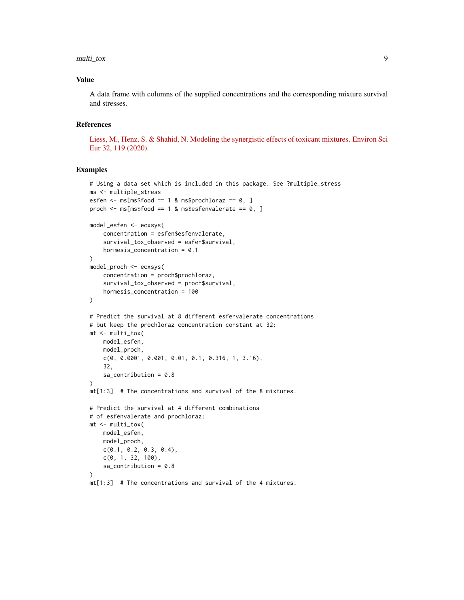multi\_tox 9

#### Value

A data frame with columns of the supplied concentrations and the corresponding mixture survival and stresses.

#### References

[Liess, M., Henz, S. & Shahid, N. Modeling the synergistic effects of toxicant mixtures. Environ Sci](https://doi.org/10.1186/s12302-020-00394-7) [Eur 32, 119 \(2020\).](https://doi.org/10.1186/s12302-020-00394-7)

#### Examples

```
# Using a data set which is included in this package. See ?multiple_stress
ms <- multiple_stress
esfen \leq ms[ms$food == 1 & ms$prochloraz == 0, ]
proch \leq ms[ms$food == 1 & ms$esfenvalerate == 0, ]
model_esfen <- ecxsys(
    concentration = esfen$esfenvalerate,
    survival_tox_observed = esfen$survival,
    hormesis_concentration = 0.1
\lambdamodel_proch <- ecxsys(
    concentration = proch$prochloraz,
    survival_tox_observed = proch$survival,
    hormesis_concentration = 100
)
# Predict the survival at 8 different esfenvalerate concentrations
# but keep the prochloraz concentration constant at 32:
mt <- multi_tox(
   model_esfen,
   model_proch,
   c(0, 0.0001, 0.001, 0.01, 0.1, 0.316, 1, 3.16),
    32,
    sa_contribution = 0.8
)
mt[1:3] # The concentrations and survival of the 8 mixtures.
# Predict the survival at 4 different combinations
# of esfenvalerate and prochloraz:
mt <- multi_tox(
   model_esfen,
   model_proch,
   c(0.1, 0.2, 0.3, 0.4),
   c(0, 1, 32, 100),
   sa_contribution = 0.8\lambdamt[1:3] # The concentrations and survival of the 4 mixtures.
```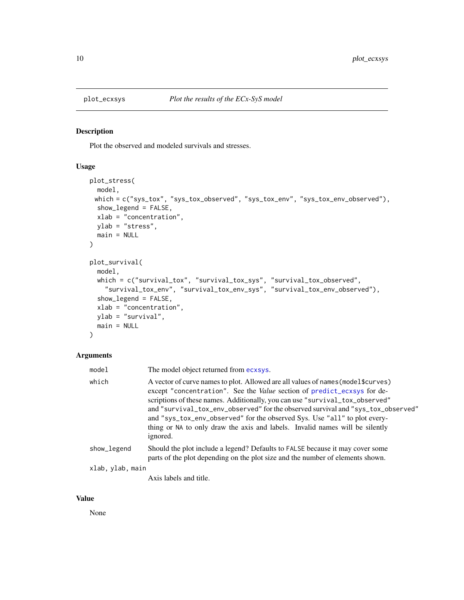<span id="page-9-0"></span>

#### Description

Plot the observed and modeled survivals and stresses.

#### Usage

```
plot_stress(
  model,
 which = c("sys_tox", "sys_tox_observed", "sys_tox_env", "sys_tox_env_observed"),
  show_legend = FALSE,
  xlab = "concentration",
  ylab = "stress",
  main = NULL
\lambdaplot_survival(
  model,
  which = c("survival_tox", "survival_tox_sys", "survival_tox_observed",
    "survival_tox_env", "survival_tox_env_sys", "survival_tox_env_observed"),
  show_legend = FALSE,
  xlab = "concentration",
  ylab = "survival",
  main = NULL
\lambda
```
#### Arguments

| model            | The model object returned from ecxsys.                                                                                                                                                                                                                                                                                                                                                                                                                                                                           |
|------------------|------------------------------------------------------------------------------------------------------------------------------------------------------------------------------------------------------------------------------------------------------------------------------------------------------------------------------------------------------------------------------------------------------------------------------------------------------------------------------------------------------------------|
| which            | A vector of curve names to plot. Allowed are all values of names (model \$curves)<br>except "concentration". See the <i>Value</i> section of predict_ecxsys for de-<br>scriptions of these names. Additionally, you can use "survival_tox_observed"<br>and "survival_tox_env_observed" for the observed survival and "sys_tox_observed"<br>and "sys_tox_env_observed" for the observed Sys. Use "all" to plot every-<br>thing or NA to only draw the axis and labels. Invalid names will be silently<br>ignored. |
| show_legend      | Should the plot include a legend? Defaults to FALSE because it may cover some<br>parts of the plot depending on the plot size and the number of elements shown.                                                                                                                                                                                                                                                                                                                                                  |
| xlab, ylab, main |                                                                                                                                                                                                                                                                                                                                                                                                                                                                                                                  |
|                  |                                                                                                                                                                                                                                                                                                                                                                                                                                                                                                                  |

Axis labels and title.

#### Value

None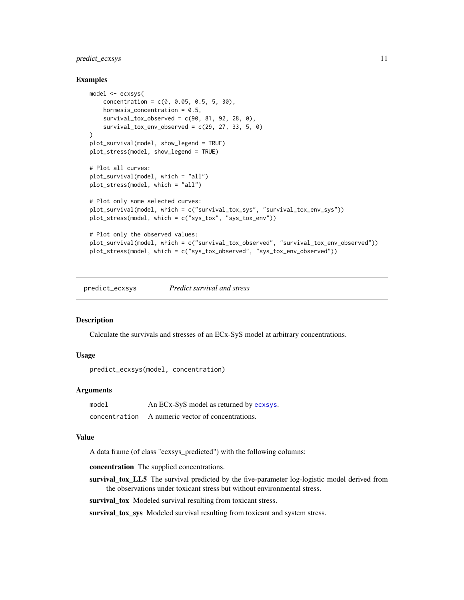#### <span id="page-10-0"></span>predict\_ecxsys 11

#### Examples

```
model <- ecxsys(
   concentration = c(0, 0.05, 0.5, 5, 30),
   hormesis_concentration = 0.5,
   survival\_tox\_observed = c(90, 81, 92, 28, 0),survival_tox_env_observed = c(29, 27, 33, 5, 0)\lambdaplot_survival(model, show_legend = TRUE)
plot_stress(model, show_legend = TRUE)
# Plot all curves:
plot_survival(model, which = "all")
plot_stress(model, which = "all")
# Plot only some selected curves:
plot_survival(model, which = c("survival_tox_sys", "survival_tox_env_sys"))
plot_stress(model, which = c("sys_tox", "sys_tox_env"))
# Plot only the observed values:
plot_survival(model, which = c("survival_tox_observed", "survival_tox_env_observed"))
plot_stress(model, which = c("sys_tox_observed", "sys_tox_env_observed"))
```
<span id="page-10-1"></span>predict\_ecxsys *Predict survival and stress*

#### Description

Calculate the survivals and stresses of an ECx-SyS model at arbitrary concentrations.

#### Usage

predict\_ecxsys(model, concentration)

#### Arguments

| model         | An ECx-SyS model as returned by ecxsys. |
|---------------|-----------------------------------------|
| concentration | A numeric vector of concentrations.     |

#### Value

A data frame (of class "ecxsys\_predicted") with the following columns:

concentration The supplied concentrations.

survival\_tox\_LL5 The survival predicted by the five-parameter log-logistic model derived from the observations under toxicant stress but without environmental stress.

survival\_tox Modeled survival resulting from toxicant stress.

survival\_tox\_sys Modeled survival resulting from toxicant and system stress.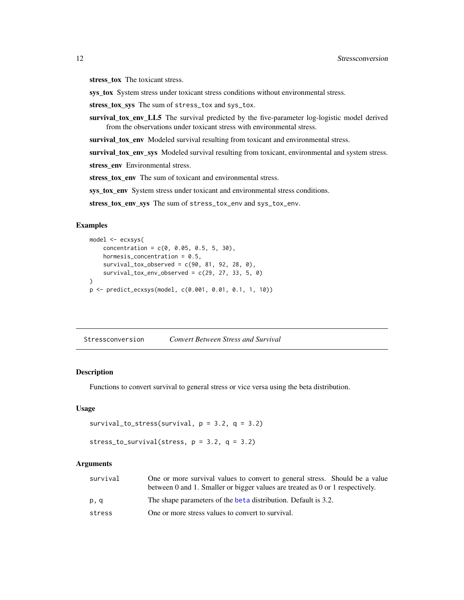<span id="page-11-0"></span>stress\_tox The toxicant stress.

sys\_tox System stress under toxicant stress conditions without environmental stress.

stress\_tox\_sys The sum of stress\_tox and sys\_tox.

survival\_tox\_env\_LL5 The survival predicted by the five-parameter log-logistic model derived from the observations under toxicant stress with environmental stress.

survival tox env Modeled survival resulting from toxicant and environmental stress.

survival\_tox\_env\_sys Modeled survival resulting from toxicant, environmental and system stress.

stress\_env Environmental stress.

stress\_tox\_env The sum of toxicant and environmental stress.

sys\_tox\_env System stress under toxicant and environmental stress conditions.

stress\_tox\_env\_sys The sum of stress\_tox\_env and sys\_tox\_env.

#### Examples

```
model <- ecxsys(
   concentration = c(0, 0.05, 0.5, 5, 30),
   hormesis_concentration = 0.5,
   survival_tox_observed = c(90, 81, 92, 28, 0),
   survival_tox_env_observed = c(29, 27, 33, 5, 0))
p <- predict_ecxsys(model, c(0.001, 0.01, 0.1, 1, 10))
```
Stressconversion *Convert Between Stress and Survival*

#### **Description**

Functions to convert survival to general stress or vice versa using the beta distribution.

#### Usage

```
survival_to_stress(survival, p = 3.2, q = 3.2)
```

```
stress_to_survival(stress, p = 3.2, q = 3.2)
```
#### Arguments

| survival | One or more survival values to convert to general stress. Should be a value   |
|----------|-------------------------------------------------------------------------------|
|          | between 0 and 1. Smaller or bigger values are treated as 0 or 1 respectively. |
| p, q     | The shape parameters of the beta distribution. Default is 3.2.                |
| stress   | One or more stress values to convert to survival.                             |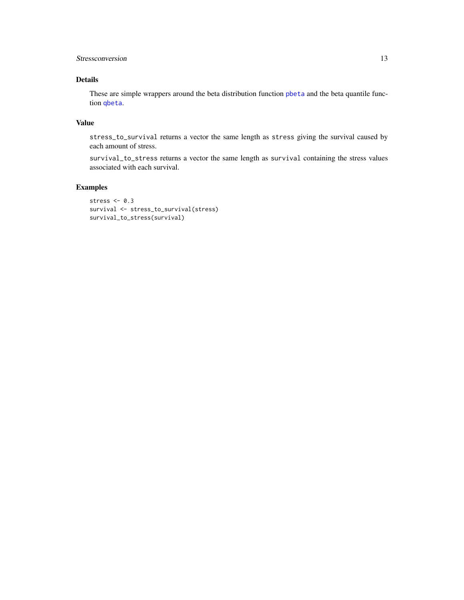#### <span id="page-12-0"></span>Stressconversion 13

#### Details

These are simple wrappers around the beta distribution function [pbeta](#page-0-0) and the beta quantile function [qbeta](#page-0-0).

#### Value

stress\_to\_survival returns a vector the same length as stress giving the survival caused by each amount of stress.

survival\_to\_stress returns a vector the same length as survival containing the stress values associated with each survival.

#### Examples

```
stress <- 0.3
survival <- stress_to_survival(stress)
survival_to_stress(survival)
```